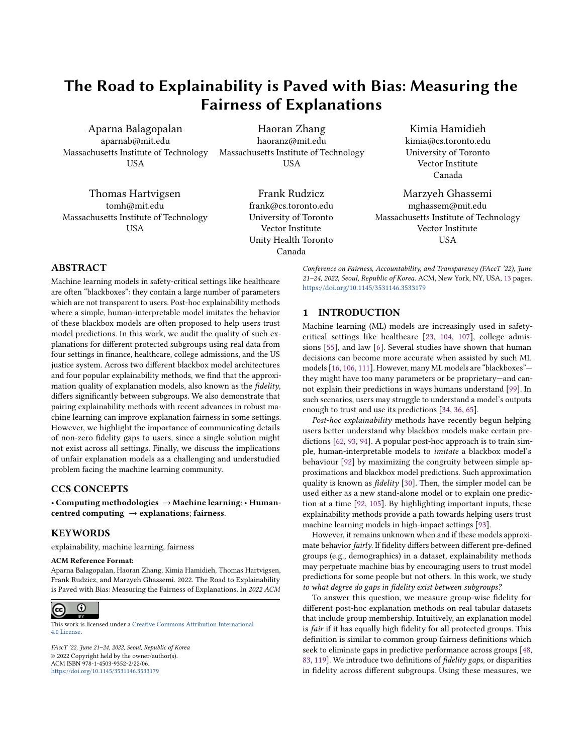# The Road to Explainability is Paved with Bias: Measuring the Fairness of Explanations

Aparna Balagopalan aparnab@mit.edu Massachusetts Institute of Technology USA

Thomas Hartvigsen tomh@mit.edu Massachusetts Institute of Technology USA

Haoran Zhang haoranz@mit.edu Massachusetts Institute of Technology USA

> Frank Rudzicz frank@cs.toronto.edu University of Toronto Vector Institute Unity Health Toronto Canada

Kimia Hamidieh kimia@cs.toronto.edu University of Toronto Vector Institute Canada

Marzyeh Ghassemi mghassem@mit.edu Massachusetts Institute of Technology Vector Institute **USA** 

# ABSTRACT

Machine learning models in safety-critical settings like healthcare are often "blackboxes": they contain a large number of parameters which are not transparent to users. Post-hoc explainability methods where a simple, human-interpretable model imitates the behavior of these blackbox models are often proposed to help users trust model predictions. In this work, we audit the quality of such explanations for different protected subgroups using real data from four settings in finance, healthcare, college admissions, and the US justice system. Across two different blackbox model architectures and four popular explainability methods, we find that the approximation quality of explanation models, also known as the fidelity, differs significantly between subgroups. We also demonstrate that pairing explainability methods with recent advances in robust machine learning can improve explanation fairness in some settings. However, we highlight the importance of communicating details of non-zero fidelity gaps to users, since a single solution might not exist across all settings. Finally, we discuss the implications of unfair explanation models as a challenging and understudied problem facing the machine learning community.

### CCS CONCEPTS

• Computing methodologies → Machine learning; • Humancentred computing  $\rightarrow$  explanations; fairness.

### **KEYWORDS**

explainability, machine learning, fairness

### ACM Reference Format:

Aparna Balagopalan, Haoran Zhang, Kimia Hamidieh, Thomas Hartvigsen, Frank Rudzicz, and Marzyeh Ghassemi. 2022. The Road to Explainability is Paved with Bias: Measuring the Fairness of Explanations. In 2022 ACM

#### $\overline{\odot}$  $(cc)$

This work is licensed under a [Creative Commons Attribution International](https://creativecommons.org/licenses/by/4.0/) [4.0 License.](https://creativecommons.org/licenses/by/4.0/)

FAccT '22, June 21–24, 2022, Seoul, Republic of Korea © 2022 Copyright held by the owner/author(s). ACM ISBN 978-1-4503-9352-2/22/06. <https://doi.org/10.1145/3531146.3533179>

Conference on Fairness, Accountability, and Transparency (FAccT '22), June 21–24, 2022, Seoul, Republic of Korea. ACM, New York, NY, USA, 13 pages. <https://doi.org/10.1145/3531146.3533179>

# 1 INTRODUCTION

Machine learning (ML) models are increasingly used in safetycritical settings like healthcare [23, 104, 107], college admissions [55], and law [6]. Several studies have shown that human decisions can become more accurate when assisted by such ML models [16, 106, 111]. However, many ML models are "blackboxes" they might have too many parameters or be proprietary—and cannot explain their predictions in ways humans understand [99]. In such scenarios, users may struggle to understand a model's outputs enough to trust and use its predictions [34, 36, 65].

Post-hoc explainability methods have recently begun helping users better understand why blackbox models make certain predictions [62, 93, 94]. A popular post-hoc approach is to train simple, human-interpretable models to imitate a blackbox model's behaviour [92] by maximizing the congruity between simple approximations and blackbox model predictions. Such approximation quality is known as *fidelity* [30]. Then, the simpler model can be used either as a new stand-alone model or to explain one prediction at a time [92, 105]. By highlighting important inputs, these explainability methods provide a path towards helping users trust machine learning models in high-impact settings [93].

However, it remains unknown when and if these models approximate behavior fairly. If fidelity differs between different pre-defined groups (e.g., demographics) in a dataset, explainability methods may perpetuate machine bias by encouraging users to trust model predictions for some people but not others. In this work, we study to what degree do gaps in fidelity exist between subgroups?

To answer this question, we measure group-wise fidelity for different post-hoc explanation methods on real tabular datasets that include group membership. Intuitively, an explanation model is fair if it has equally high fidelity for all protected groups. This definition is similar to common group fairness definitions which seek to eliminate gaps in predictive performance across groups [48, 83, 119]. We introduce two definitions of fidelity gaps, or disparities in fidelity across different subgroups. Using these measures, we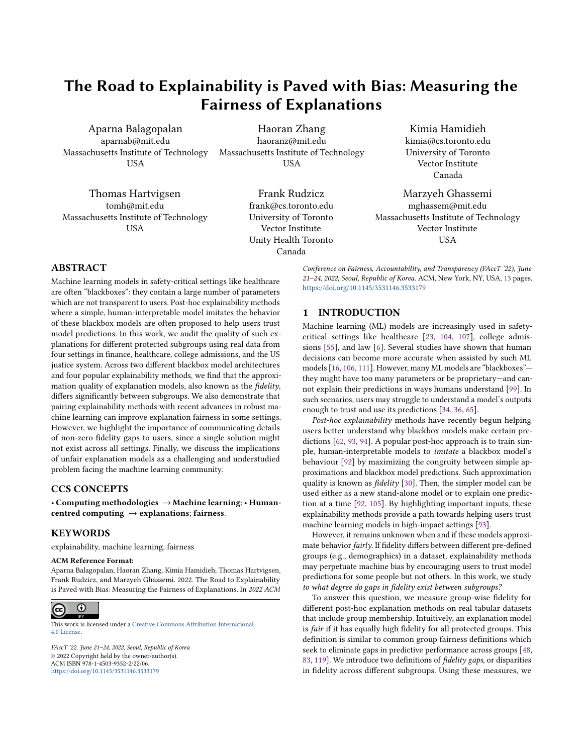

Figure 1: An example of an unfair global explanation model. Orange and Blue circles indicate predicted classes, healthy or unhealthy, respectively.  $\Box$  and  $\triangle$  denote group membership. The red dashed line is a linear explainability model fit to approximate the black blackbox decision boundary. The two figures on the right show that the linear approximate is worse for the  $\Box$ group.

benchmark two popular families of post-hoc explanation models: local methods, which imitate the boundary of a blackbox around one instance [71, 92, 94], and global methods, which imitate the blackbox across all instances [62, 98]. We also motivate fidelity gap measurements by showing mathematically that measuring fidelity gaps across subgroups directly connects with prior work on fairness preservation for explainability [32]. With a comprehensive audit of explanation fairness, we find that significant fidelity gaps exist between subgroups.

A popular way to train fairer models is through robust optimization [66, 89, 100]. To see how robust training impacts large fidelity gaps, we also study a simple technique for retraining explainability methods to improve their fairness. We also study potential causes for these fidelity gaps, and highlight mechanisms by which group information can indirectly be used in post-hoc explanations as an important contributing factor. Lastly, we assess the impact of the observed fidelity gaps on real-world decision-making accuracy with a carefully designed simulation study. The major findings of our evaluation are as follows:

Explanation fidelity varies significantly between subgroups: We find that fidelity gaps grow up to 7% between subgroups in our experiments using four popular datasets. In comparison to average fidelity across all data points, the fidelity of explanations for disadvantaged groups is often significantly lower (up to 21%). These findings indicate that judging the quality of explanations by their average fidelity alone—a common approach overestimates explanation quality for some subgroups, potentially leading to worse downstream decision making. This effect is illustrated in Fig. 1.

Balanced and robust training can reduce but not eliminate fidelity gaps: We use robust training by adaptively reweighting or balancing groups in training data while training explanation models. This turns out to be a promising direction: fidelity gaps improve across subgroups, though this depends on both the dataset and exact method utilized.

Fidelity gaps have an impact on decision-making in the real-world: Using a simulation study, we observe that larger fidelity gaps may lead to disparities in decision making accuracy for different subgroups. This implies that ignoring fidelity gaps between subgroups can have detrimental effects to decisions made for members of protected groups.

Finally, we categorize and discuss promising directions for evaluating and improving post-hoc explainability methods. In summary, our work is a step towards training fair and reliable explanations.

### 2 RELATED WORK

# 2.1 Explainable Machine Learning

While ML models achieve outstanding performance, users often find them too complex to trust in practice [34]. To make such blackbox models more useful, users require that they be understandable, often due to laws [13] or preference [12, 51, 95]. To fill this gap, recent approaches "explain" a blackbox model's behavior after it is trained [18, 37]. These post-hoc explainability methods are now used in safety-critical settings like healthcare [3] and finance [19].

Several explainability methods are increasingly-popular because they make no assumptions about a blackbox model's architecture [93], also known as model-agnostic. In contrast, some methods are designed exclusively for deep learning, requiring their internal structure and gradients [8, 57, 63, 103, 103]. We consider modelagnostic methods, which can be used for a wider family of blackbox models, including deep learning.

Model-agnostic explainability methods are primarily either local or global [39]. Local methods justify one model prediction at a time, typically by approximating the decision boundary around one data point [14, 71, 84, 91, 92, 94]. Then, the weights learned by the local models are used to rationalize the blackbox model's prediction. Some of the best-known local methods are LIME [92], which learns a sparse linear classifier on a dataset of perturbed samples, and SHAP [71], which uses feature-wise Shapley values [97]. Global methods, on the other hand, train interpretable surrogate models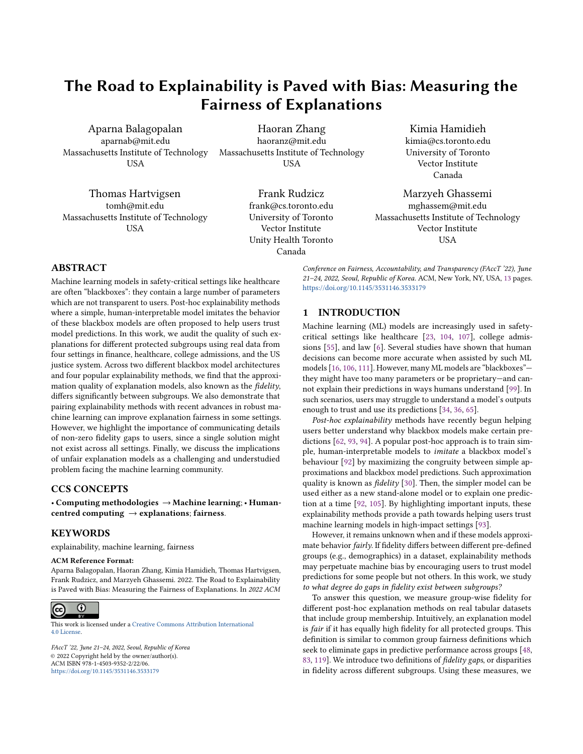of the blackbox model's behavior on an entire dataset, which is then used in lieu of the blackbox. These methods primarily use treebased models [70], rule lists [62, 88], sparse linear models [108, 120], and generalized additive models [69] as surrogates.

2.1.1 Explainable ML in Safety-critical Settings. The need for explainability in safety-critical applications is a nebulous and contested topic for several reasons:

Interpretability vs Explainability. Some prior works advocate for interpretability over explainability [43, 77, 99]. An explanation model without perfect fidelity is by definition incorrect for some data points [99]. Our work extends this point; these errors can occur for some groups more than others. Since explanations influence trust [16], it is important to conduct user studies on the impacts of explanations on algorithmic aversion [68] and over-reliance on algorithmic advice [35].

Anchoring Effects. Explanations can fool people into trusting incorrect models [9, 85]. For example, Poursabzi-Sangdeh et al. [85] find that when people are shown explanations from a bad model, they become more likely to trust the model, even when it is clearly wrong. In cases like this, people use the explanations while judging the quality of the blackbox models, even though the explanations themselves can be misleading [10].

Mismatched end-user and model-designer goals. Many explainability methods aim to assist model debugging, while nonengineer users only choose when to accept a blackbox's decisions [59, 86, 93]. This mismatch can have downfalls. For instance, Buçinca et al. [17] find that the explanations people find most useful are also the ones they trust incorrectly. Resolving this mismatch requires goal-aware explainability methods along with education to ensure end-users are properly trained in using these methods.

2.1.2 Desiderata for Post-hoc Explanations. Most post-hoc explainability methods have three goals:

Reliability. Explanations must be accurate for the right reasons. People often trust explained models [85, 96], so ensuring that explanations are faithful to the original model and not simply easy-to-rationalize is essential [43].

Robustness. Explanation models should not overfit to spurious patterns in the data [44, 60] and must be robust in the presence of small distribution shifts at test time [60].

Simplicity. Models should be sparse, and leave little room for effects for human cognitive biases such as the anchoring effect [85]. Ideal explanations will highlight only the key information needed to understand a model's behavior, encouraging users to engage with explanations in predictable ways [17]. However, there is often a trade-off between an explanation's faithfulness and its simplicity [61]. Recent work on cognitive forcing—where users explicitly interact and understand explanations—appears to be a promising direction to address this trade-off [17].

Along with other recent efforts [10, 44, 60, 85], we promote a fourth goal: Fairness. Explanation quality should not depend on group membership. We find that this requirement is not yet satisfied by popular explainability methods.

### 2.2 Algorithmic Fairness

Formalizing fairness is a flourishing research area [11, 22, 26, 27, 41, 48, 67, 75, 116, 117]. Recent works define fairness at either the individual- or group-level. Individual fairness [41] requires similar predictions for similar individuals; group fairness requires similar predictions for different groups (sex or race, for example). We consider group-level fairness for binary classification, which we quantify using demographic parity (DP) gap [48, 83], a standard groupfairness metric. We describe this metric probabilistically, allowing calculation of gaps across groups: DP =  $E[\hat{Y}|A = a] - E[\hat{Y}|A = a]$ b]  $\forall a, b \in A$ , where  $\hat{Y}$  is a predictor and its DP gap is measured with respect to attribute A.

There are three main strategies for encouraging group fairness [20]: pre-processing data to find less-biased representations [81]; enforcing fairness while training a model, typically through regularization [72, 118]; and altering a model's predictions to satisfy fairness constraints after it is trained [2, 24, 48, 83]. In this paper, we utilize the inprocessing method proposed by Zhang et al. [118] for training fair blackbox models. Further, recent work has demonstrated that group-robust training can increase fairness by improving the worst-group accuracy [101].

# 2.3 Bias in Model Compression and Risks of Fairwashing

Several recent works study the effects of model and data compression on fairness [52, 102]. For example, Samadi et al. [102] observe that reconstruction error associated with data dimensionality reduction via principal component analysis is higher for some populations. Hooker et al. [52] show that average accuracy after ML model compression hides disproportionately high errors on a small subset of examples. In a similar vein, we study post-hoc explanation models, which are often compressed blackbox models, and assess how they transmit bias. Another related topic is "fairwashing": the act of overlooking a model's unfair behavior by rationalizing its predictions via explanations [4]. Our paper instead considers fairness in how well explanation models imitate blackbox models (rather than the ground-truth), regardless of blackbox model fairness. In concurrent work, Dai et al. [31] showed that explanation quality may differ between subgroups, further validating our findings. However, the metrics and methodological focus in their work is on feature-based variations to fidelity. We encourage readers to review their work for an alternate approach to measuring the fairness of explanations.

# 3 MEASURING THE FAIRNESS OF EXPLANATIONS

Here, we introduce metrics for measuring fairness of explanation models or fidelity gaps across subgroups.

### 3.1 Notation

Consider a dataset  $\mathcal{D} = \{(\mathbf{x}_i, y_i)\}_{i=1}^n$  that contains *n* training data<br>points  $\mathbf{x}_i \in \mathbb{R}^d$  is the *d* dimensional feature vector of the *i* th data points.  $x_i \in \mathbb{R}^d$  is the *d*-dimensional feature vector of the *i*-th data<br>point in  $\mathcal{D}$  and  $y_i \in \{0, 1\}$  is its associated binary label. We assume point in  $D$  and  $y_i \in \{0, 1\}$  is its associated binary label. We assume binary classification for simplicity. Let  $g_i \in \{1, \ldots, G\}$  be a variable defining group membership with respect to the protected attribute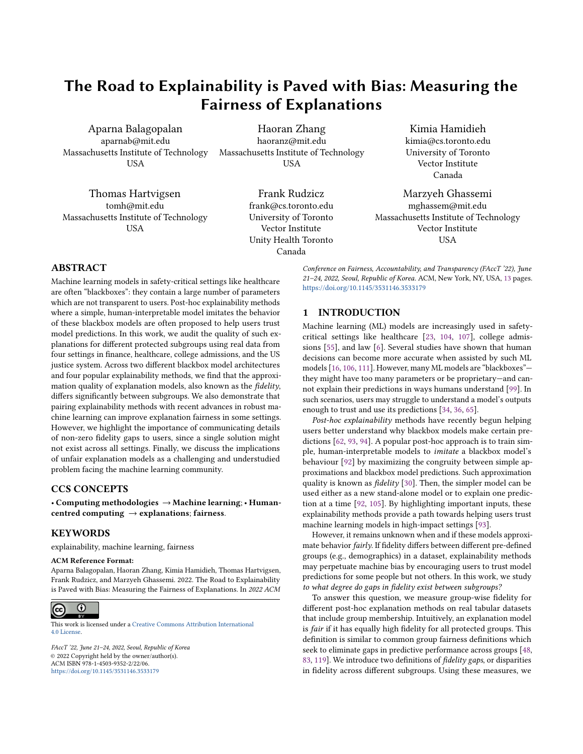for every data point for a total of  $G$  subgroups. In all cases,  $g_i$  serves as auxiliary information and is not used during any model training, unless specified otherwise. A blackbox classifier  $B : \mathbb{R}^d \to \{0, 1\}$ predicts one binary label per input  $x$ . Given classifier  $B$ , we wish to explain its prediction given some query point  $x^*$ . To achieve this, an explanation model  $E$  is chosen from a set of interpretable models (e.g., linear models or decision trees). Then,  $E$  is trained to *imitate B* either locally (for the feature space near  $\mathbf{x}^*$ ) or globally (for all data points in  $\Omega$ ) data points in  $\mathcal{D}$ ).

### 3.2 Fidelity of Explanations

Given a blackbox  $B$  and explainability model  $E$ , we seek to describe how well  $E$  approximates  $B$ 's behavior. Fidelity, as detailed in Definition 3.1 below, is a powerful measure for this approximation error [5, 61, 62], though it disregards group information.

Definition 3.1 (Explanation Fidelity [30]). Given blackbox model  $B$  and explanation model  $E$ , the *explanation fidelity* on data points  $(x_i, y_i)_{i=1}^N$  is  $\frac{1}{N} \sum_{i=1}^N L(B(x_i), E(x_i))$ , where L is a performance metric.

For L, we use accuracy,  $AUROC^1$ , and mean error, denoted as  $d_{\text{diff}\text{-}ACC-Fid}_\text{diff}$  respectively Acc, *Fidelity*<sup>AUROC</sup>, *Fidelity*<sup>Err</sup>, respectively.

In the following sections, we build up to a definition of explanation fidelity that considers group information. First, we motivate the need for a metric that measures fidelity across groups (Section 3.3), then define two new notions for measuring the fairness of explanations (Section 3.4).

# 3.3 Fidelity Gaps are Critical to Fairness Preservation

Dai et al. [32] recently introduced fairness preservation in surrogate explanation models. Fairness is preserved when the fairness properties of the blackbox model and explanation model are identical. For example, consider Figure 1. A linear explanation E is a highfidelity approximation of the blackbox B's decisions for one group  $(\triangle)$ , but not the other  $(\square)$ . Here, B seems unfair in predicting the "unhealthy" class for the two groups. Meanwhile, E appears fairer. In this example, B's degree of (un)fairness—the demographic parity gap—is not preserved by the explanation model. For demographic parity, fairness preservation in explanations implies that  $B$  and  $E$ should have similar DP Gaps (Section 2.2).

To reliably judge a blackbox's fairness using only its post-hoc explanations, preserving fairness is essential. If fairness is preserved, then when an explanation seems unfair, we can be confident that the blackbox model is likely similarly unfair as well. Next, we prove that fairness preservation is directly linked to fidelity gaps across subgroups. While Dai et al. [32] briefly intuit that fairness preservation impacts explanation fidelity via an illustrative example, only a group-conditional blackbox model's decision boundary under imbalanced group sizes is considered. In contrast, we do not make any assumptions about the relative sizes of groups or group-dependence of blackbox model and instead show that fairness preservation is related to fidelity gaps (more so than overall explanation fidelity).

#### 3.3.1 Fidelity Gaps are related to Fairness Preservation.

Theorem 3.2. Let E be a post-hoc explanation model trained to imitate predictions of blackbox model B, and mean residual error for a set of N data points in dataset D is  $\frac{1}{N} \sum_{x \in \mathcal{D}} (E(x) - B(x))$ . Then,<br>the difference between the Demographic Parity Gans of E and B, both the difference between the Demographic Parity Gaps of E and B, both<br>with respect to binary valued-protected attribute a is equal to the with respect to binary valued-protected attribute g, is equal to the difference in mean residual error of data points with  $q = 1$  and  $q = 0$ .

The full proof of this theorem is in Appendix A.1; the key idea is to expand  $E(x_i) = B(x_i) + \epsilon_i$  where  $\epsilon_i$  is a residual for each point  $x_i$ . This is valid when *E* is trained to imitate *B* with high fidelity xi (e.g., minimizing mean squared error or cross-entropy loss). We  $x_i$ . This is valid when E is trained to imitate B with high fidelity also empirically validate this theorem on explanation models in Appendix A.2.

From Theorem 3.2, a sufficient condition for DP gap preservation, as computed over instances  $x_i$  and their local linear classifiers  $E_i(x_i)$ or a global model E (where  $E_i = E \forall i$ ) is ensuring that the mean residual errors for each group is comparable. This is the same as low fidelity gaps across subgroups where L is the mean error. Note that this does not correspond to mean absolute difference between predictions of E and B, but instead their mean difference. Theorems of similar form could be derived for other group fairness definitions, but the  $\epsilon$  values and data points considered would depend on the ground truth as well (e.g., for equal-opportunity, the  $\epsilon$  difference would only contain terms for data points with positive-class ground truth). With this motivation in mind, we next introduce two new metrics that measure fidelity gaps across subgroups.

# 3.4 Measuring the Fairness of Explainability Methods

Building on the definition of average fidelity across groups (Defn. 3.1), we introduce two new measurements for the fairness of explanation models by evaluating their fidelity gaps between subgroups. The first metric (Definition 3.3) addresses the question: by what degree would relying on the average fidelity alone be detrimental to subgroups of data? The second metric estimates the mean difference in fidelity of explanations between subgroups of data (Definition 3.4).

Inspired by past work [30, 66], the maximum fidelity gap from average (Definition 3.3) computes the difference between the overall, average fidelity and the worst-case subgroup fidelity. This way, we quantify the maximum degree to which an explanation model's fidelity is lower for disadvantaged groups compared to the average across all subgroups.

Definition 3.3 (Maximum Fidelity Gap from Average:  $\Delta_L$ ). Let the maximum fidelity gap from average be

r.

$$
\Delta_L = \max_j \left[ \frac{1}{N} \sum_{i=1}^N L(B(x_i), E(x_i)) - \frac{1}{N_j} \sum_{i: g_i' = 1} L(B(x_i), E(x_i)) \right],
$$

where  $g_i^j = 1$  denotes that point  $x_i$  belongs to the *j*th subgroup defined by a specific protected attribute a (e.g. data points from defined by a specific protected attribute  $g(e.g., \text{ data points from } f \text{ samples})$  and  $N_i$  is the number of data points with  $a^j = 1$ females), and  $N_j$  is the number of data points with  $g^j = 1$ .

Next, the mean fidelity gap amongst subgroups (Definition 3.4) computes how much an explanation model's fidelity differs over

<sup>1</sup>AUROC cannot be written directly as a sum but we slightly abuse notation for readability.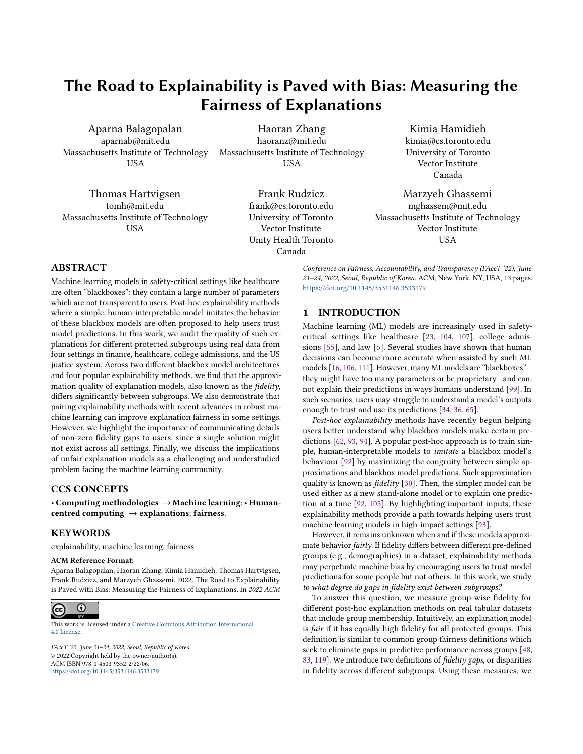subgroups. Here, we only consider groups defined by the same sensitive attribute (*e.g.,*  $g^k$  is male,  $g^j$  is female).

Definition 3.4 (Mean Fidelity Gap Amongst Subgroups:  $Δ_L^{group}$ ).<br>t the mean fidelity gap amongst subgroups be Let the mean fidelity gap amongst subgroups be

$$
\Delta_L^{group} = \frac{2}{G(G-1)} \sum_{k=1}^{G} \sum_{j=k+1}^{G} |L_k - L_j|,
$$

where

$$
L_k = \frac{1}{N_k} \sum_{i:g_i^k = 1} L(B(x_i), E(x_i))
$$

where  $g^j$  denotes the  $j^{th}$  subgroup defined by a specific sensitive<br>ribute (e.g., datapoints from females), and N, is the number of attribute (e.g., datapoints from females), and  $N_j$  is the number of datapoints in  $\overline{sl}$ datapoints in  $g^j$ .

Similar to average fidelity, we choose L to be Accuracy, AUROC, and Mean Error for both fidelity gap measurements (e.g., ΔAUROC and  $\Delta_{AUCOC}^{group}$ ). In all cases, we do not consider intersectional groups<br>due to sample size concerns. due to sample size concerns.

### 3.5 Experiments Overview

Since fidelity gaps across subgroups are closely linked to fairness preservation and risks of fairwashing, we design experiments to audit this quantity. We conduct the following experiments in the  $\frac{1}{\sqrt{2}}$  sections below<sup>2</sup>:

Measuring Fidelity Gaps Between Subgroups: We measure fidelity gaps using metrics defined in 3.3 and 3.4 for four different post-hoc explanation models, and two different blackbox model classes. The aim of this experiment is to study the presence and degree of fidelity gaps in standard explainability methods (Section 4).

Assessing the Impact of Robust Training: We use robust training strategies to train explanation models, and repeat the fidelity gap audits to study if robust training can provide reduced fidelity gaps (Section 5).

Studying Possible Causes for Fidelity Gaps: We analyze the impact of blackbox fairness and presence of protected attribute information in feature representations on the fidelity gap (Section 6).

Simulation Showing Impact of Fidelity Gaps: We conduct a simulation and study the quality of decisions made for groups to examine the impacts of unfair explanation models on real-world decision making (Section 7).

# 4 EXPLANATION FIDELITY VARIES SIGNIFICANTLY BETWEEN SUBGROUPS

Experimentally, we find that fidelity gaps indeed vary by group in many settings. To show this, we train four post-hoc explainability methods (two local, two global) to explain two different blackbox models trained on the four standard fairness benchmark tabular datasets described in Table 1. Following Aïvodji et al. [5], we randomly split each dataset into four subsets: a training set for blackbox models (50%), a training set for explanation models (30%), a validation set for explanation models (10%), and a held-out test set for evaluating both blackbox and explanation models (10%). For each dataset, we train both a Neural Network (NN) and a Logistic

Regression (LR) model to serve as blackboxes. See Section B.3 in the Appendix for details on the training regimes, hyperparameter settings, and evaluation metrics for each. In the following sections,

### 4.1 Local Explanation Models

Local explanation models explain individual predictions from classifiers by learning an interpretable model locally around each prediction. In our experiments, we consider LIME [92, 93] and SHAP [71], which are popular methods that use linear models to elicit each feature's contribution to the blackbox model's prediction. More details are in Appendix B.1.

we describe the explainability models and fidelity gaps observed.

Experiment Setup. We measure fidelity gaps between subgroups using the two key metrics introduced in Section 3.4 (see Definitions 3.3 and 3.4). For each, we select three performance measures: Accuracy ( $\Delta_{\text{Acc}}^{\text{group}}$ ) following prior work [4], mean residual error ( $\Delta_{\text{Err}}^{\text{group}}$ ), and also include AUROC ( $\Delta_{\text{AUROC}}^{\text{group}}$ ) as a threshold-<br>independent metric  $\Delta$  full table with all metrics can also be found independent metric. A full table with all metrics can also be found in the Appendix. For accuracy, we use a threshold of 0.5. Since the four datasets are imbalanced, we use AUROC for model selection while tuning all hyperparameters. Non-zero fidelity gaps indicate disparities across groups in the explanation models.

Results. First, we find that LIME disproportionately favors different groups, as shown in Table 2, where the maximum accuracy gap ranges from 0.1-21.4%. This confirms that explanation quality can dramatically differ by subgroup, even without access to groupmembership data. Furthermore, the AUROC/Accuracy between protected groups also ranges significantly (0-6.6%/0.3-20.6%), indicating that some members of protected groups are disadvantaged in terms of explanations. Hence, when explanations are judged to be "high quality" based on average fidelity, it might be misleading and lead to errors in decision-making. Bolded non-zero fidelity gaps are also significantly greater than 0 with a one-sided Wilcoxon signed-rank test at  $p < 0.05$ .

Second, as expected, SHAP's gaps are consistently zero. This is because the blackbox and explanation models are trained using identical features, in which case consistency is guaranteed [71]. However, using a subset of features to train the explanation model often leads to more useful explanations [115]. This increases the gaps significantly, as shown in Figure 2, indicating that SHAP may also suffer from significant gaps in fidelity when used in practice. Since LIME considers sparsity as well, we also run this same experiment for LIME and find that fewer features are indeed associated with larger fidelity gaps (Fig.2). Increasing sparsity is a common approach in training explanation models and these experiments indicate that this technique alone may contribute to substantially worse fidelity gaps.

Third, we observe that the fidelity gaps in AUROC tend to be lower for the logistic regression blackbox, possibly because the linearity of the local surrogate models matches logistic regression better than the neural network. Note that the overall fidelity of all models are greater than 84% (see Table 6 in the Appendix).

### 4.2 Global Explanation Models

Global explanation methods train one new surrogate model that approximates the behavior of a blackbox model. This surrogate model

<sup>2</sup>Code: <https://github.com/MLforHealth/ExplanationsSubpopulations>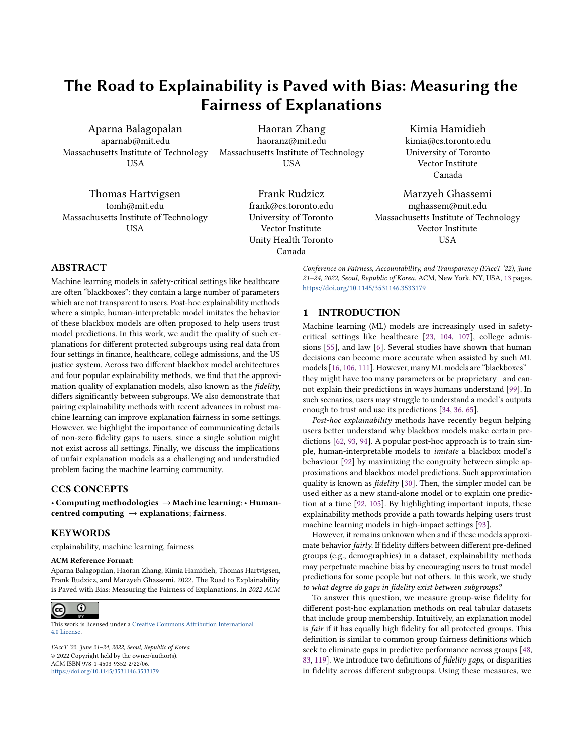| <b>Dataset</b>  | <b>Outcome Variable</b> | n      | d  | d'  | <b>Protected Attribute</b> $(q)$ |
|-----------------|-------------------------|--------|----|-----|----------------------------------|
| adult $[40]$    | Income > 50K            | 48.842 | 9  | -33 | Sex (2 groups)                   |
| Isac [114]      | Student passes the bar  | 20,427 | 8  | -14 | Race (5 groups)                  |
| minic [49]      | Patient dies in ICU     | 21.139 | 49 | 49  | Sex (2 groups)                   |
| recidivism [87] | Defendant re-offends    | 6.150  | 6  |     | Race (2 groups)                  |

Table 1: Binary classification datasets used in our experiments. n is the number of samples, d is the number of variables in the original dataset, and  $d'$  is the number of features after one-hot encoding categorical variables.

| Dataset    | Blackbox Classifier | $\Delta_{\text{Acc.}}$ | $\Delta_{\rm AUROC}^{\rm group}$ | $\Delta_{Acc.}^{group}$ | $\Delta_{\text{Err}}^{\text{group}}$ |
|------------|---------------------|------------------------|----------------------------------|-------------------------|--------------------------------------|
| adult      | Logistic Regression | $0.8\% \pm 0.0\%$      | $0.1\% \pm 0.0\%$                | $2.4\% \pm 0.1\%$       | $1.9\% \pm 0.0\%$                    |
|            | Neural Network      | $6.9\% \pm 0.7\%$      | $3.0\% \pm 1.2\%$                | $20.6\% \pm 2.0\%$      | $0.8\% \pm 0.5\%$                    |
| lsac       | Logistic Regression | $2.0\% \pm 1.0\%$      | $0.0\% \pm 0.0\%$                | $1.5\% \pm 0.5\%$       | $1.5\% \pm 0.1\%$                    |
|            | Neural Network      | $21.4\% \pm 4.4\%$     | $6.6\% \pm 1.2\%$                | $12.2\% \pm 2.2\%$      | $3.8\% \pm 1.2\%$                    |
| mimic      | Logistic Regression | $0.4\% \pm 0.6\%$      | $3.0\% \pm 1.8\%$                | $1.1\% \pm 0.3\%$       | $2.0\% \pm 0.1\%$                    |
|            | Neural Network      | $0.8\% \pm 0.4\%$      | $1.7\% \pm 1.5\%$                | $1.4\% \pm 0.7\%$       | $1.7\% \pm 0.5\%$                    |
| recidivism | Logistic Regression | $0.1\% \pm 0.1\%$      | $0.0\% \pm 0.0\%$                | $0.3\% \pm 0.2\%$       | $0.3\% \pm 0.0\%$                    |
|            | Neural Network      | $0.9\% \pm 0.3\%$      | $0.7\% \pm 0.3\%$                | $2.4\% \pm 0.7\%$       | $1.1\% \pm 0.1\%$                    |

Table 2: Performance fidelity gaps across subgroups for LIME local explanations using all available features. ± denotes standard deviation computed over 5 replications. Fidelity gaps are significant (one-sided Wilcoxon signed-rank tests at  $p < 0.05$ ; marked<br>in bold) between all five groups in the 1sac dataset, and between two sensitive groups in ot in bold) between all five groups in the **lsac** dataset, and between two sensitive groups in other three datasets. <sup>∆</sup>Acc . denotes the maximum fidelity gap of subgroups from average (in terms of accuracy at 0.5 threshold), and  $\Delta_m^{group}$  is the mean fidelity and hetween subgroups using metric  $m$ gap between subgroups using metric m.

should itself be easily understood, and can then be used instead of the blackbox at test time (more background in Appendix B.1).

Experiment Setup. In this experiment, we generate global explanations using two popular choices of interpretable surrogate models: Generalized Additive Model (GAM) [50] and a sparse decision tree (Tree) [82]. GAM combines linear models of different variables during explanation [105], while Tree uses a low-depth, sparse, decision tree. We evaluate the fidelity of each global method with the original blackbox and compare across subgroups. As with the local methods, we use both Accuracy and AUROC to evaluate fidelity gaps.

Results. First, we find that the fidelity gap between subgroups differs substantially from the average for the global explanation models, as shown in Table 3 where the accuracy gap ranges from 0-13.5%. We again observe that AUROC and accuracy vary substantially between protected subgroups (0-8.1% and 0.1-7.4% for protected groups such as sex and race groups in each dataset). This is especially true for more imbalanced subgroup proportions: having more subgroup categories leads to more disadvantage in protected groups, particularly when the classes are imbalanced themselves (e.g., lsac).

Second, we find that using fewer features (e.g., 15 in Fig. 2) may lead to larger gaps in performance between subgroups in sparse decision trees (Trees), bolstering prior findings on training trustworthy models [21]. Hence, the gaps shown in Tables 2 and 3 are likely underestimates when using fewer dimensions in explanation models, which is common. Interestingly, the subgroup with the

lowest-quality explanations is not always the minority subgroup which may be the most disadvantaged—in the datasets for fair ML. We expand this finding in Table 12 in the Appendix. Additionally, we see that subgroup gaps occur even after training blackbox models with a balanced number of data points from each subgroup for both global and local explanation models (see Table 10).

# 5 BALANCED AND ROBUST TRAINING REDUCES FIDELITY GAPS

Balanced and robust training methods could provide a path towards improving fidelity gaps, thereby learning fairer explanations [1, 47]. We showcase two such robust training methods, one for local methods and one for global methods. For both cases, we choose hyperparameters that maximize the worst-case fidelity across all groups.3 Ultimately, our experiments indicate that while robust training improves fidelity gaps sometimes, they remain pervasive.

### 5.1 Robust Local Explanation Models

Experiment Setup. We train a more-robust version of LIME, using Just Train Twice (JTT) [66], a two-stage training paradigm for training robust ML Models. First, we train an identification model via empirical risk minimization. Then, we extract its set of misclassified training examples. A final model is then trained by upsampling these misclassified examples, scaled by a hyperparameter  $\lambda$ . This reweighted loss is designed to make the second model more robust.

<sup>&</sup>lt;sup>3</sup>The overall fidelity is not significantly affected by either training approach.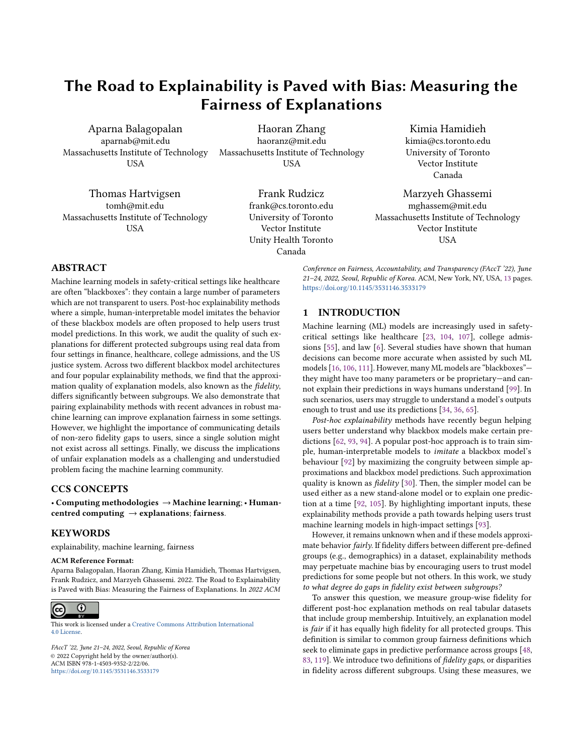| Dataset    | Blackbox Classifier | Expl. Model | $\Delta_{Acc.}$    | $\Delta_{\text{AUROC}}^{\text{group}}$ | group<br>Acc.     | $\Delta^{\mathrm{group}}_{\mathrm{E$ |
|------------|---------------------|-------------|--------------------|----------------------------------------|-------------------|--------------------------------------|
| adult      | Logistic Regression | GAM         | $0.1\% \pm 0.0\%$  | $0.0\% \pm 0.0\%$                      | $0.3\% \pm 0.0\%$ | $0.1\% \pm 0.0\%$                    |
|            | Logistic Regression | Tree        | $1.5\% \pm 0.1\%$  | $2.9\% \pm 0.4\%$                      | $4.5\% \pm 0.2\%$ | $1.1\% \pm 0.1\%$                    |
|            | Neural Network      | GAM         | $0.8\% \pm 0.2\%$  | $0.5\% \pm 0.3\%$                      | $2.4\% \pm 0.5\%$ | $0.3\% \pm 0.2\%$                    |
|            | Neural Network      | Tree        | $1.1\% \pm 0.1\%$  | $0.6\% \pm 0.4\%$                      | $3.4\% \pm 0.2\%$ | $0.5\% \pm 0.4\%$                    |
| lsac       | Logistic Regression | GAM         | $0.9\% \pm 0.9\%$  | $0.0\% \pm 0.0\%$                      | $0.6\% \pm 0.4\%$ | $0.7\% \pm 0.3\%$                    |
|            | Logistic Regression | Tree        | $3.7\% \pm 3.1\%$  | $1.1\% \pm 0.4\%$                      | $2.8\% \pm 0.7\%$ | $1.8\% \pm 0.5\%$                    |
|            | Neural Network      | <b>GAM</b>  | $13.5\% \pm 0.9\%$ | $5.2\% \pm 1.2\%$                      | $7.3\% \pm 1.0\%$ | $3.9\% \pm 2.6\%$                    |
|            | Neural Network      | Tree        | $11.5\% \pm 2.7\%$ | $5.8\% \pm 2.1\%$                      | $7.4\% \pm 1.2\%$ | $4.9\% \pm 2.0\%$                    |
| mimic      | Logistic Regression | GAM         | $0.5\% \pm 0.1\%$  | $0.4\% \pm 0.1\%$                      | $0.9\% \pm 0.1\%$ | $0.4\% \pm 0.2\%$                    |
|            | Logistic Regression | Tree        | $0.6\% \pm 0.0\%$  | $8.1\% \pm 0.8\%$                      | $1.2\% \pm 0.1\%$ | $1.9\% \pm 0.0\%$                    |
|            | Neural Network      | <b>GAM</b>  | $1.2\% \pm 0.3\%$  | $1.8\% \pm 1.2\%$                      | $2.2\% \pm 0.6\%$ | $0.9\% \pm 0.3\%$                    |
|            | Neural Network      | Tree        | $1.1\% \pm 0.5\%$  | $3.0\% \pm 1.5\%$                      | $2.0\% \pm 0.9\%$ | $1.9\% \pm 0.9\%$                    |
| recidivism | Logistic Regression | GAM         | $0.1\% \pm 0.0\%$  | $0.1\% \pm 0.0\%$                      | $0.3\% \pm 0.0\%$ | $0.5\% \pm 0.0\%$                    |
|            | Logistic Regression | Tree        | $0.0\% \pm 0.0\%$  | $0.4\% \pm 0.0\%$                      | $0.1\% \pm 0.0\%$ | $1.2\% \pm 0.0\%$                    |
|            | Neural Network      | GAM         | $0.2\% \pm 0.2\%$  | $0.4\% \pm 0.2\%$                      | $0.6\% \pm 0.6\%$ | $1.1\% \pm 0.4\%$                    |
|            | Neural Network      | Tree        | $0.9\% \pm 0.3\%$  | $1.0\% \pm 0.9\%$                      | $2.3\% \pm 0.7\%$ | $1.4\% \pm 0.3\%$                    |

Table 3: Fidelity gaps across subgroups for global explanation models GAM and Tree. ± denotes standard deviation computed over 5 replications. Fidelity gaps are significant (one-sided Wilcoxon signed-rank tests at  $p < 0.05$ ; marked in bold) for all five groups in the **lsac** dataset, and between two sensitive groups in the other three datasets with both global explanation models.  $\Delta_{Acc.}$  denotes the maximum fidelity gap of subgroups from average (in terms of accuracy at 0.5 threshold), and  $\Delta_{m}^{group}$  is the<br>mean fidelity gan between subgroups using metric m mean fidelity gap between subgroups using metric m.

We use JTT to train LIME's local linear approximations, using linear models for both the identification and final models.

Results. JTT successfully reduces gaps on three datasets with a NN blackbox model, as shown in Figure 3. Interestingly, this is not the case for the recidivism dataset, where JTT does not reduce the gap and performs the same as standard training. With LR blackboxes (Figure 10 in Appendix), the fidelity gaps are already small, so JTT is less impactful. However, non-zero gaps between 1-2% still persist (e.g., NN blackbox on the adult dataset), indicating that the errorprone regions did not generalize to the test setting. Measuring fidelity gaps is therefore still critical, even if an explanation model is trained to be robust.

### 5.2 Robust Global Explanation Models

Experiment Setup. We next study balanced training for the global explanation method Tree. We rebalance the explainability training sets for each dataset by randomly oversampling minority groups, a common approach for improving test error on minority subpopulations [47, 112]. This way, the training set in each case consists of an equal number of examples from each protected group. Then, we train a Tree model to explain each blackbox model using these balanced datasets.

Results. As shown in Figure 3, we find that this common rebalancing approach to does not reduce gaps significantly across the board. Still, some cases look more promising than others. For example, mimic with NN which indicates this may be a fruitful direction for learning fairer explanations. This is especially true for cases like mimic with LR, where rebalancing the training set increases the fidelity gap substantially (see Figure 10 in Appendix).

### 6 ON POSSIBLE CAUSES FOR FIDELITY GAPS

In our fidelity gap audits in prior sections, we noticed that the fidelity gaps are largest for the least-fair blackboxes (adult and lsac datasets; Tables 3 and 2). This indicates a potential relationship between the fairness of the blackbox and explainability models. To explore this further, we study the associations between blackbox fairness and fidelity gaps across subgroups in this section. First, we train fair models, and observe that significant non-zero fidelity gaps still persist. Second, we study if protected group information – e.g., if a data point belongs to a Male or Female individual – can be predicted from the feature representations alone, following prior work in fair representation learning [72, 118]. We find that mechanisms by which protected group information can be indirectly predicted could be contributing factors to the fidelity gaps observed.

### 6.1 Training Fair Blackbox Models

Our experiments in previous sections (see Tables 2 and 3) indicate that fidelity gaps across subgroups occur regardless of the blackbox model's fairness with respect to groundtruth label predictions. For example, a logistic regression model trained on the mimic dataset is fair with respect to the sex (Table 4 in Appendix; DP gap of 1%). However, fidelity gaps are non-zero across sex subgroups with a sparse decision tree global explanation (8.1%). Strikingly, the gaps in fidelity AUROC often exceed the gaps in AUROC of the blackbox models themselves (e.g., mimic dataset with the Tree model, the difference in classification performance of the blackbox between Male and Female individuals is 3.6%, while the fidelity gap between subgroups is 8.1%). However, we do observe larger fidelity gaps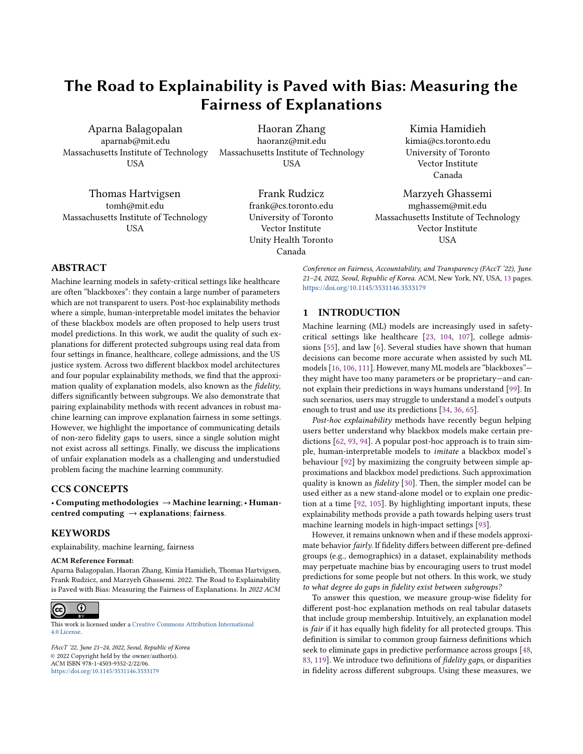

(b) Global Explanations

Figure 2: The effect of varying the number of features on fidelity gaps using the **mimic** dataset with a neural network blackbox model. For (a) local explanation models, using fewer features leads to worse fidelity gaps. We observe larger fidelity gaps across subgroups with sparser models, i.e., fewer features in (a) local explanation models. For (b) global explanation models, the gap varies with number of features. We also observe similar trends on other datasets (Appendix F).

in datasets where blackbox models are more accurate but less fair (e.g., adult with an absolute DP gap of 16-17%).

Experiment Setup. To investigate this further, we train debiased neural network blackbox models for lsac and mimic: both highly-imbalanced by class label, and characterized by the largest and smallest gaps in blackbox model AUROC respectively. Adversarial debiasing following methodology proposed by Zhang et al.  $[118]$ <sup>4</sup> is utilized, wherein an adversary tries to predict the protected group information from classification predictions and labels, while the main classification model (our blackbox model) jointly predicts the primary classification outcome. We use demographic parity as the desired fairness definition. Our results are shown in

Table 13, which reports the performance of the fair(er) blackbox classifiers.

Results. We debias neural network blackbox models to be fairer, where a model is deemed to be fair if it has an absolute DP gap close to 1% (9% and 0.6% after debiasing for lsac and mimic respectively; improved from 14% and 2%). We find that despite fair training, fidelity gaps remain (Table 4, though they are significantly reduced in most cases: the fidelity gap in accuracy decreases from 2% to 1% for mimic and 7.4% to 0.8% for lsac (Tree)). Note that these results are dependent on our choice of fairness criterion: particularly, for the lsac dataset we find that overall performance is reduced to achieve parity (Table 13 in Appendix; for absolute DP gap close to 1%, over 99% of the blackbox predictions are that the student passes the bar). This indicates that while fair blackboxes could potentially reduce fidelity gaps across subgroups, there might be trade-offs and more potential causes for such gaps. We explore this in Section 6.2.

# 6.2 Performance of Predicting Protected Attributes from Feature Representations Alone

Experiment Setup. One way to achieve group fairness is by removing group information from or debiasing the representations (e.g., with the use of an adversary [72, 109]). Here, we quantify the amount of group information that is present in the data. This is relevant as the absence of group information is a sufficient condition to achieving fairness parity according to standard metrics in fair machine learning. For example, consider equality of opportunity for the positive class, which can be written as  $\hat{Y} \perp G|Y = 1$ , where G denotes the protected group and Y is the binary groundtruth label. If we have  $X \perp G|Y = 1$ , then equality of opportunity is achieved for any form of the classifier  $\hat{Y} = f(X)$ , including E the explanation model and B the blackbox model. Therefore, if no protected group information is present in the positive examples, then the explanation fidelity would not differ between protected groups for positive examples [72]. In this experiment, we first compute the accuracy of detecting the protected group information from all datasets (with a cross-validated model). Then, we select features that have zero mutual information with respect to the protected attribute, and only use these in training the blackbox and explanation model. We expect that the performance of predicting group information from these features will be low. Then, we compute the fidelity gaps – this allows us to answer the question: do fidelity gaps exist when there is low group information in the data?

Results: First, we observe that in all cases the prediction AU-ROC is significantly greater than 0.5 (see Table 4) in identifying the minority group. This indicates that the protected group information – e.g., if the datapoint belongs to a Male/Female individual – can be predicted with good performance from the feature representations alone<sup>5</sup>. Since past work has shown that group information might be indirectly constructed and used by explanations [60], this is important to consider. Second, we only use features that have zero mutual information with respect to protected group labels in the lsac dataset for training blackbox and explanation models. We see that all models output a single-class prediction which limits our ability to make meaningful conclusions about the impact of group

<sup>4</sup>With open-sourced implementation: <https://github.com/Trusted-AI/AIF360>

<sup>5</sup>This was also observed when conditioned on only positive or negative label classes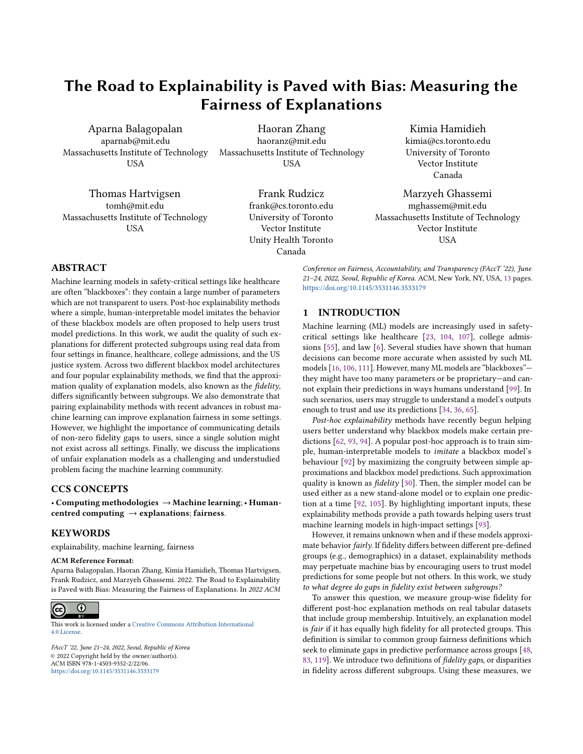

Figure 3: AUROC Fidelity gaps across subgroups with and without robust training for (a) LIME and (b) Tree-based Models. Improvements are significant with robust training for adult dataset in (a) with a Wilcoxon-signed rank test at  $p < 0.1$  level. However, balanced training does not help for most datasets in (b). Error bars indicate 95% confidence intervals.

information on this dataset – note the fidelity gaps are technically zero, though the explanations are trivial. We repeat the same procedure with the mimic dataset by selecting 10 features. The AUROC of predicting protected attribute (sex) from these features is low (0.54; also less than <sup>0</sup>.<sup>57</sup> for features from positive and negative class). With this representation, we train both NN and LR blackbox models, and GAM/Tree global explanation models. We observe that accuracy-based fidelity gaps ( $\Delta_{Acc}$ ,  $\Delta_{Acc}^{group}$ )  $\%$  wi ) decrease to low values not much higher than zero (to 0-0.6% with GAM and Tree; full table in Appendix M while blackbox model's AUROC is greater than <sup>0</sup>.7). This indicates that fidelity gaps decrease when there is less group information in data representations. However, non-zero fidelity gaps in AUROC still persist for Tree-based models (up to 6.6%). This is due to low prevalence of positive class predictions with the blackbox model on using the reduced data representation (≈3% positive class at <sup>0</sup>.<sup>5</sup> threshold), which has a large impact on AUROC (since it is a ranking-based metric, and sensitive to degree of imbalance). We highlight that more experiments using interpretable, completely group-independent representations (i.e., an AUROC of 0.5 in predicting protected attribute labels) that still have high groundtruth predictive capability are required to accurately quantify the impact of group information on AUROC-based fidelity gaps. We also note that class imbalance – and varying degrees of class imbalance for data subgroups – may be an important factor. Our findings indicate that fidelity gaps persist across a range of class-imbalance ratios, but we leave the estimation of the effect of varying degrees of class imbalance (or positive-class prevalence) across subgroups on explanation fairness for future work.

# 7 SIMULATING THE REAL-WORLD IMPACT OF BIASED EXPLANATIONS

Unfair explanation models can have negative effects on real-world decision making. To demonstrate this, we conduct a simulation study of ML-assisted law school admissions using the lsac dataset [114]. Such systems are already being used in many cases [74, 79]. Our results clearly show that worse decisions are made for members of disadvantaged groups when explanations are less fair.

Experiment Setup. To set up our simulation study, we consider an admissions officer that uses a blackbox model that predicts whether a student will pass the bar, though this prediction may be incorrect. The admissions officer also has an explanation of the model's prediction, which may have low fidelity. The blackbox model's performance and the explanation fidelity can vary between protected groups—we vary these parameters in this experiment. We assume that the admissions officer then admits students solely based on their perceived likelihood of the applicant passing the bar, without any knowledge of the applicant's demographics. We assume parameters for the probability that the officer ultimately makes the correct decision. We obtain these parameters from prior user studies assessing the impact of explanations on human+AI decision making accuracy for a different task [10], but believe they serve as reasonable estimates to display the anchoring effect of decisions with explanations observed across a variety of decision-making settings [10, 80, 85]. For further details, please see Appendix K.

To simulate the effect of fidelity gaps on decision-making accuracy, we vary the maximum fidelity gaps between the two groups (males and females) and the average from 0% to 15%, assuming an average fidelity of  $\approx 85\%$  across groups. We then compute the admissions officer's resulting decision-making accuracy for males and females. We use sex as the protected attribute of interest for the simulation as both groups pass the bar equally in the dataset, so decision-making accuracy is a fair performance metric.

Results. As shown in Figure 5, we find that larger fidelity gaps lead to larger decision accuracy gap between groups. So when explanations are less fair, disadvantaged groups may be targeted by worse decisions. With over 60,000 law school applicants in the U.S. in a typical year [29], over 200 applications would be wrongly admitted/rejected based solely on the fairness of the explanation model, according to this simulation. Fidelity gaps should therefore be used as fairness metrics for explanation methods: minimizing these gaps leads to fairer decisions. However, we emphasize that the findings of this simulation are based on some strong assumptions (e.g., reliance on parameters extracted, anchoring effect existence in this admission setting, etc.). Real-world user studies are required to validate these expected findings rigorously across a variety of decision-making setups.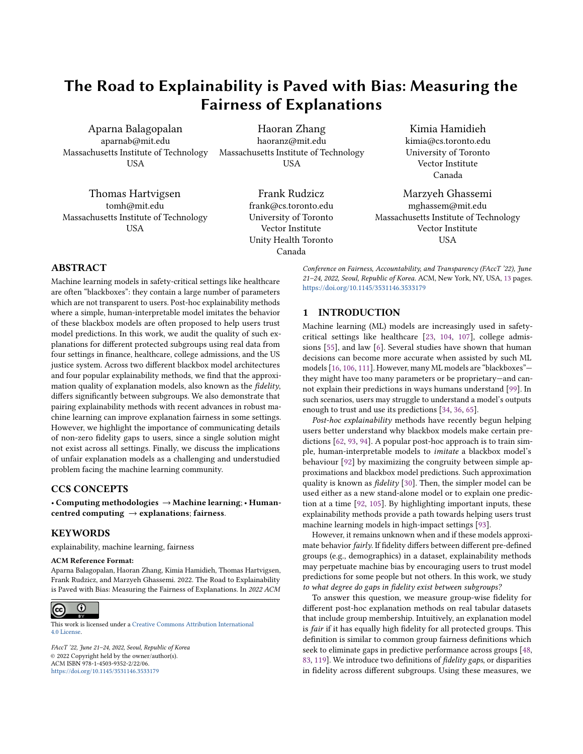

| Dataset | Expl | $Fidelity^{Acc.}$ | $\Delta_{AUROC}^{\rm group}$ | $\Delta_{Acc.}^{\rm group}$ |
|---------|------|-------------------|------------------------------|-----------------------------|
| lsac    | GAM  | 96.6              | 1.4                          | 1.5                         |
|         | Tree | 96.9              | 7.0                          | 0.8                         |
| mimic   | GAM  | 96.2              | 0.6                          | 1.0                         |
|         | Tree | 94.9              | 4.1                          | 1.6                         |

(a) AUROC in detecting minoritized protected group

(b) Fidelity gaps with fair blackbox models





Figure 5: Effect of fidelity gap size on a simulated admissions officer's decision accuracy between males and females using a neural network blackbox. Note that larger fidelity gaps lead to larger decision accuracy gaps between males and females; fidelity gaps could disadvantage different groups in practice. Each line is paired with 95% confidence intervals across 20 simulations.

### 8 DISCUSSION

#### 8.1 Takeaways for ML Practitioners

Analyze subgroup fidelities. Our results suggest that ML practitioners using post-hoc explainable models to interpret blackbox models should carefully analyse the fidelity of commonly-used explanations for different groups separately. Especially if there is a target subgroup of interest. If a fidelity gap exists, practitioners should carefully consider its source [113], and, where possible, take measures to minimize the impacts on downstream decision-making [90]. We also highlight the importance of carefully choosing the metric for measuring fidelity (e.g., accuracy, AUROC, precision, etc.): different metrics may be affected by properties of the dataset and hence predictions from a blackbox/explanation model (e.g., class imbalance, calibration [15]) differently.

Consider the explanation model. Overall, our findings indicate the existence of fidelity gaps between subgroups is both a

model and a data issue. From Section 4, we find that fidelity gaps can vary greatly for the same dataset depending on the explanation model used, and our results in Section 5 show that algorithms that seek to improve worst-case group performance may be a promising direction in reducing fidelity gaps. As such, we recommend careful selection and testing of various explanation models in order to select an equitable model with high overall fidelity.

In addition, model hyperparameters should also be carefully tuned. For example, in models like LIME, there are several hyperparameters that can affect fidelity gaps, such as the sampling variance (Figure 9 in Appendix), the number of perturbations, or number of features in the explanation. Exploring the effect of these hyperparameters on explanation quality and fairness is a promising direction of future work. Lastly, extending prior work on methods for fair supervised ML models [20, 66, 72, 81, 118], we call for similar approaches to training fair and explainable local and global explanation models which have reduced fidelity gap in addition to high overall fidelity.

Consider the data. Our results in Section 6 indicate that fidelity gaps also depend on data representations. Because some feature representations cause smaller fidelity gaps, practitioners should carefully consider the features used to learn both the blackbox and explanation models [46]. As machine learning models can encode historical biases present in the training corpora [38], it is crucial to consider the source of such potential biases, and, if possible, take actions to correct them by collecting additional data in a fairnessaware way [7, 56].

### 8.2 Implications of Fidelity Gaps

Algorithmic Modifications to Train Fair Explanation Models with Low Fidelity Gaps. While we benchmark robust training as an attempt to mediate the fidelity gaps across subgroups, we posit that data distribution-aware methods could lead to lower, less significant fidelity gaps. For example, recent work in causal bootstrapping [54] shows the potential to reduce confounding biases in ML model training given causal knowledge [45]. Similar strategies relying on partial or complete knowledge of the data generation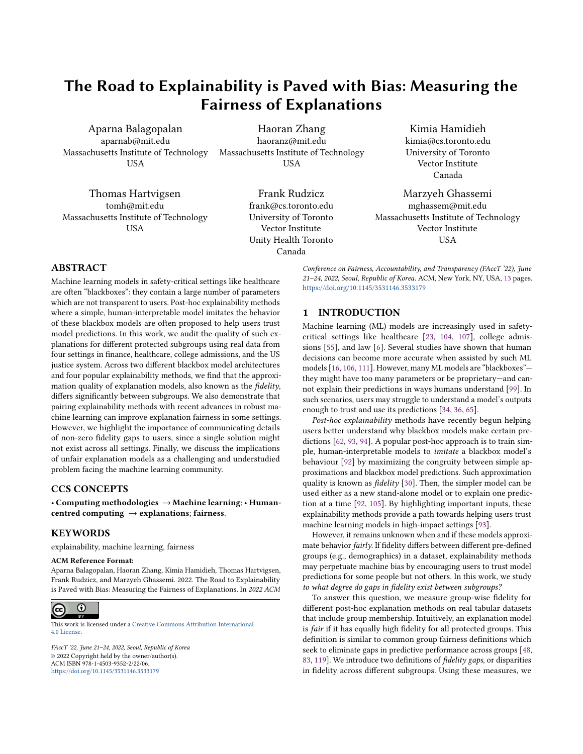graph [42] could prove effective in selecting features and training examples to train fair explanation models.

Post-processing solutions to standard explanation model training could also prove effective, similar to recent work in the space of improving worst-case generalization [76]. However, such solutions need to be appraised carefully to ensure that the resulting models are both fair and remain interpretable to users [110].

An interesting follow-up question is whether it is possible to have zero fidelity gaps—perfect worst-case generalization—while retaining good average fidelity under standard training settings. Zero fidelity gaps are possible, of course, when the blackbox and explanation models are identical. However in more-realistic scenarios, fidelity gaps may simply depend on the data distributions [76]. For example, rare subgroups may be more diffidult to approximate, and will naturally have lower fidelity than others [52, 102].

Fidelity Gaps as an Evaluation Metric. We focus mainly on evaluating the fairness of explanation models using the fidelity gap as a metric, assuming that models with smaller fidelity gaps are more desirable. However, recent work in group fairness has found that trying to achieve equal performance for all subgroups tends to worsen welfare for all [28, 53, 119]. Such a fairness/accuracy trade-off is well-documented in the algorithmic fairness literature [58, 121]. We posit that there is likely a similar trade-off between the fidelity gap and the overall fidelity of an explanation model. In such cases, motivated by definitions such as minimax Pareto fairness [33, 73], it may be more appropriate to select explanation models that maximize the fidelity of the worst-case group.

Human Implications of Fidelity Gaps. Explainable ML models form an integral part of sociotechnical systems, given their user-facing nature [16]. Several works have studied the utility of explanations in human–AI joint decision-making [10]. However, the potential failure modes we identify—fidelity gaps leading to worse explanations for some groups—need to be studied further in the context of real human decision-making (in addition to the simulations we conduct). For accurate decision-making in practice, like learning to defer decisions to an expert [78], it is important to communicate clearly and provide end-users with details of performance caveats [64]. This requires collaboration between computer scientists and scholars working in the space of computer-mediated communication. A more design-centric approach is required to bridge the gap between researchers and consumers of these models [25].

### 9 CONCLUSION

In this work, we investigate fairness properties of post-hoc explainability methods. We ultimately find that significant gaps in performance exist between groups, indicating that some groups receive better explanations than others. First, we demonstrate experimentally that significant gaps occur in the two main branches of explanation methods using four explainability methods on four common datasets and two blackbox model architectures. Second, we present a study of robust and balanced training methods for improving these gaps. We find that these methods can improve the fairness of explanation models in some cases. Third, using a simulation study, we demonstrate that improving explanation fairness could substantially improve decision making accuracy for

underserved groups. Finally, we pose promising directions enhancing post-hoc explainability methods; future work should focus on ensuring explanation quality does not suffer according to group membership while remaining reliable and accurate.

### ACKNOWLEDGMENTS

Aparna Balagopalan is supported by a grant from the MIT-IBM Watson AI Lab. Haoran Zhang is supported by a grant from the Quanta Research Institute. Dr. Frank Rudzicz is supported by a CIFAR AI Chair. Dr. Marzyeh Ghassemi is funded in part by Microsoft Research, and a Canadian CIFAR AI Chair held at the Vector Institute. Resources used in preparing this research were provided, in part, by the Province of Ontario, the Government of Canada through CIFAR, and companies sponsoring the Vector Institute. We would like to thank Hammaad Adam, Bret Nestor, Natalie Dullerud, Vinith Suriyakumar, Nathan Ng, and three anonymous reviewers for their valuable feedback.

### REFERENCES

- [1] Robert Adragna, Elliot Creager, David Madras, and Richard Zemel. 2020. Fairness and robustness in invariant learning: A case study in toxicity classification. *arXiv* preprint arXiv:2011.06485 (2020).
- [2] Alekh Agarwal, Alina Beygelzimer, Miroslav Dudik, John Langford, and Hanna Wallach. 2018. A Reductions Approach to Fair Classification. In International Conference on Machine Learning (ICML). 60–69.
- [3] Muhammad Aurangzeb Ahmad, Carly Eckert, and Ankur Teredesai. 2018. Interpretable machine learning in healthcare. In Proceedings of the 2018 ACM international conference on bioinformatics, computational biology, and health informatics. 559–560.
- [4] Ulrich Aïvodji, Hiromi Arai, Olivier Fortineau, Sébastien Gambs, Satoshi Hara, and Alain Tapp. 2019. Fairwashing: the risk of rationalization. In International Conference on Machine Learning. PMLR, 161–170.
- [5] Ulrich Aïvodji, Hiromi Arai, Sébastien Gambs, and Satoshi Hara. 2021. Characterizing the risk of fairwashing. arXiv preprint arXiv:2106.07504 (2021).
- [6] Benjamin Alarie, Anthony Niblett, and Albert H Yoon. 2016. Using machine learning to predict outcomes in tax law. Can. Bus. L1 58 (2016), 231.
- [7] Hadis Anahideh, Abolfazl Asudeh, and Saravanan Thirumuruganathan. 2020. Fair active learning. arXiv preprint arXiv:2001.01796 (2020).
- [8] Sebastian Bach, Alexander Binder, Grégoire Montavon, Frederick Klauschen, Klaus-Robert Müller, and Wojciech Samek. 2015. On pixel-wise explanations for non-linear classifier decisions by layer-wise relevance propagation. PloS one 10, 7 (2015), e0130140.
- [9] Gagan Bansal, Besmira Nushi, Ece Kamar, Eric Horvitz, and Daniel S Weld. 2021. Is the Most Accurate AI the Best Teammate? Optimizing AI for Teamwork. (2021).
- [10] Gagan Bansal, Tongshuang Wu, Joyce Zhou, Raymond Fok, Besmira Nushi, Ece Kamar, Marco Tulio Ribeiro, and Daniel Weld. 2021. Does the whole exceed its parts? the effect of ai explanations on complementary team performance. In Proceedings of the 2021 CHI Conference on Human Factors in Computing Systems.  $1 - 16$
- [11] Richard Berk. 2017. An impact assessment of machine learning risk forecasts on parole board decisions and recidivism. Journal of Experimental Criminology 13, 2 (2017), 193–216.
- [12] Umang Bhatt, Alice Xiang, Shubham Sharma, Adrian Weller, Ankur Taly, Yunhan Jia, Joydeep Ghosh, Ruchir Puri, José MF Moura, and Peter Eckersley. 2020. Explainable machine learning in deployment. In Proceedings of the 2020 Conference on Fairness, Accountability, and Transparency. 648–657.
- [13] Adrien Bibal, Michael Lognoul, Alexandre De Streel, and Benoît Frénay. 2021. Legal requirements on explainability in machine learning. Artificial Intelligence and Law 29, 2 (2021), 149–169.
- [14] Tiago Botari, Frederik Hvilshøj, Rafael Izbicki, and Andre CPLF de Carvalho. 2020. MeLIME: meaningful local explanation for machine learning models. arXiv preprint arXiv:2009.05818 (2020).
- [15] Glenn W Brier et al. 1950. Verification of forecasts expressed in terms of probability. Monthly weather review 78, 1 (1950), 1–3.
- [16] Zana Buçinca, Phoebe Lin, Krzysztof Z Gajos, and Elena L Glassman. 2020. Proxy tasks and subjective measures can be misleading in evaluating explainable ai systems. In Proceedings of the 25th International Conference on Intelligent User Interfaces. 454–464.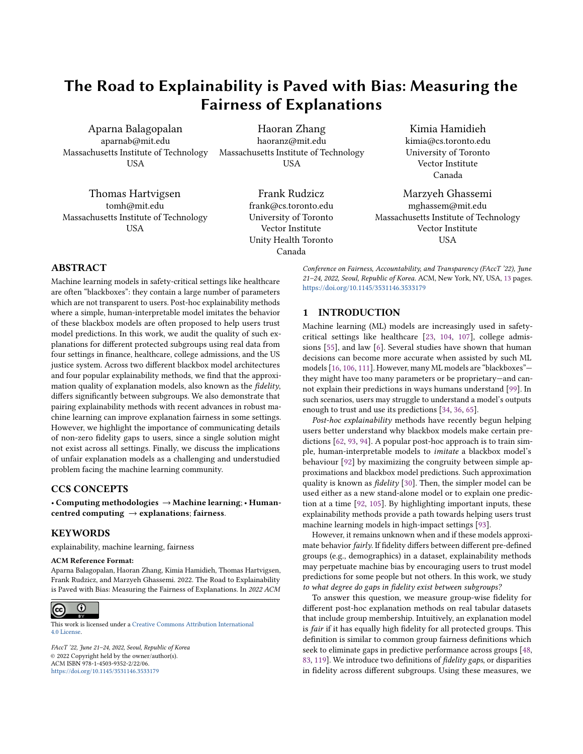FAccT '22, June 21-24, 2022, Seoul, Republic of Korea Balagopalan, Zhang, Hamidieh, Hartvigsen, Rudzicz, Ghassemi

- [17] Zana Buçinca, Maja Barbara Malaya, and Krzysztof Z Gajos. 2021. To trust or to think: cognitive forcing functions can reduce overreliance on AI in AI-assisted decision-making. Proceedings of the ACM on Human-Computer Interaction 5, CSCW1 (2021), 1–21.
- [18] Nadia Burkart and Marco F Huber. 2021. A survey on the explainability of supervised machine learning. Journal of Artificial Intelligence Research 70 (2021), 245–317.
- [19] Niklas Bussmann, Paolo Giudici, Dimitri Marinelli, and Jochen Papenbrock. 2021. Explainable machine learning in credit risk management. Computational Economics 57, 1 (2021), 203–216.
- [20] Simon Caton and Christian Haas. 2020. Fairness in machine learning: A survey. arXiv preprint arXiv:2010.04053 (2020).
- [21] Chun-Hao Chang, Sarah Tan, Ben Lengerich, Anna Goldenberg, and Rich Caruana. 2021. How interpretable and trustworthy are gams?. In Proceedings of the 27th ACM SIGKDD Conference on Knowledge Discovery & Data Mining. 95–105.
- [22] Irene Chen, Fredrik D Johansson, and David Sontag. 2018. Why is my classifier discriminatory? arXiv preprint arXiv:1805.12002 (2018).
- [23] Irene Y Chen, Emma Pierson, Sherri Rose, Shalmali Joshi, Kadija Ferryman, and Marzyeh Ghassemi. 2020. Ethical Machine Learning in Healthcare. Annual Review of Biomedical Data Science 4 (2020).
- [24] John Chen, Ian Berlot-Attwell, Safwan Hossain, Xindi Wang, and Frank Rudzicz. 2020. Exploring Text Specific and Blackbox Fairness Algorithms in Multimodal Clinical NLP.
- [25] Valerie Chen, Jeffrey Li, Joon Sik Kim, Gregory Plumb, and Ameet Talwalkar. 2022. Interpretable Machine Learning: Moving from mythos to diagnostics. Queue 19, 6 (2022), 28–56.
- [26] Alexandra Chouldechova. 2017. Fair prediction with disparate impact: A study of bias in recidivism prediction instruments. Big data 5, 2 (2017), 153–163.
- [27] Alexandra Chouldechova and Aaron Roth. 2018. The frontiers of fairness in machine learning. arXiv preprint arXiv:1810.08810 (2018).
- [28] Sam Corbett-Davies and Sharad Goel. 2018. The measure and mismeasure of fairness: A critical review of fair machine learning. arXiv preprint arXiv:1808.00023 (2018).
- [29] The Law School Admission Council. 2018. Legal Education Data Library. [https://www.lsac.org/data-research/data/current-volume-summaries](https://www.lsac.org/data-research/data/current-volume-summaries-region-raceethnicity-gender-identity-lsat-score)[region-raceethnicity-gender-identity-lsat-score](https://www.lsac.org/data-research/data/current-volume-summaries-region-raceethnicity-gender-identity-lsat-score)
- [30] Mark Craven and Jude Shavlik. 1995. Extracting tree-structured representations of trained networks. Advances in neural information processing systems 8 (1995), 24–30.
- [31] Jessica Dai, Sohini Upadhyay, Ulrich Aivodji, Stephen H Bach, and Himabindu Lakkaraju. 2022. Fairness via explanation quality: Evaluating disparities in the quality of post hoc explanations. In Proceedings of the 2022 AAAI/ACM Conference on AI, Ethics, and Society.
- [32] Jessica Dai, Sohini Upadhyay, Stephen H Bach, and Himabindu Lakkaraju. 2021. What will it take to generate fairness-preserving explanations? arXiv preprint arXiv:2106.13346 (2021).
- [33] Emily Diana, Wesley Gill, Michael Kearns, Krishnaram Kenthapadi, and Aaron Roth. 2021. Minimax group fairness: Algorithms and experiments. In Proceedings of the 2021 AAAI/ACM Conference on AI, Ethics, and Society. 66–76.
- [34] Berkeley J Dietvorst, Joseph P Simmons, and Cade Massey. 2015. Algorithm aversion: People erroneously avoid algorithms after seeing them err. Journal of Experimental Psychology: General 144, 1 (2015), 114.
- [35] Jaap J Dijkstra, Wim BG Liebrand, and Ellen Timminga. 1998. Persuasiveness of expert systems. Behaviour & Information Technology 17, 3 (1998), 155–163.
- [36] Finale Doshi-Velez and Been Kim. 2017. Towards a rigorous science of interpretable machine learning. arXiv preprint arXiv:1702.08608 (2017).
- [37] Filip Karlo Došilović, Mario Brčić, and Nikica Hlupić. 2018. Explainable artificial intelligence: A survey. In 2018 41st International convention on information and communication technology, electronics and microelectronics (MIPRO). IEEE, 0210– 0215.
- [38] Jad Doughman, Wael Khreich, Maya El Gharib, Maha Wiss, and Zahraa Berjawi. 2021. Gender Bias in Text: Origin, Taxonomy, and Implications. In Proceedings of the 3rd Workshop on Gender Bias in Natural Language Processing. 34–44.
- [39] Mengnan Du, Ninghao Liu, and Xia Hu. 2019. Techniques for interpretable machine learning. Commun. ACM 63, 1 (2019), 68–77.
- [40] Dheeru Dua and Casey Graff. 2017. UCI Machine Learning Repository. [http:](http://archive.ics.uci.edu/ml) [//archive.ics.uci.edu/ml](http://archive.ics.uci.edu/ml)
- [41] Cynthia Dwork, Moritz Hardt, Toniann Pitassi, Omer Reingold, and Richard Zemel. 2012. Fairness through awareness. In Proceedings of the 3rd innovations in theoretical computer science conference. 214–226.
- [42] Robert Geirhos, Patricia Rubisch, Claudio Michaelis, Matthias Bethge, Felix A Wichmann, and Wieland Brendel. 2018. ImageNet-trained CNNs are biased towards texture; increasing shape bias improves accuracy and robustness. In International Conference on Learning Representations.
- [43] Marzyeh Ghassemi, Luke Oakden-Rayner, and Andrew L Beam. 2021. The false hope of current approaches to explainable artificial intelligence in health care. The Lancet Digital Health 3, 11 (2021), e745–e750. [44] Amirata Ghorbani, Abubakar Abid, and James Zou. 2019. Interpretation of
- neural networks is fragile. In Proceedings of the AAAI Conference on Artificial

Intelligence, Vol. 33. 3681–3688.

- [45] Sindhu CM Gowda, Shalmali Joshi, Haoran Zhang, and Marzyeh Ghassemi. 2021. Pulling Up by the Causal Bootstraps: Causal Data Augmentation for Pre-training Debiasing. In Proceedings of the 30th ACM International Conference on Information & Knowledge Management. 606–616.
- [46] Nina Grgic-Hlaca, Muhammad Bilal Zafar, Krishna P Gummadi, and Adrian Weller. 2016. The case for process fairness in learning: Feature selection for fair decision making. In NIPS symposium on machine learning and the law, Vol. 1. 2.
- [47] Xudong Han, Timothy Baldwin, and Trevor Cohn. 2021. Balancing out Bias: Achieving Fairness Through Training Reweighting. arXiv preprint arXiv:2109.08253 (2021).
- [48] Moritz Hardt, Eric Price, and Nathan Srebro. 2016. Equality of Opportunity in Supervised Learning. arXiv[:1610.02413](https://arxiv.org/abs/1610.02413) [cs.LG]
- [49] Hrayr Harutyunyan, Hrant Khachatrian, David C Kale, Greg Ver Steeg, and Aram Galstyan. 2019. Multitask learning and benchmarking with clinical time series data. Scientific data 6, 1 (2019), 1–18.
- [50] Trevor J Hastie and Robert J Tibshirani. 2017. Generalized additive models. Routledge.
- [51] Andreas Holzinger. 2018. From machine learning to explainable AI. In 2018 world symposium on digital intelligence for systems and machines (DISA). IEEE, 55–66.
- [52] Sara Hooker, Nyalleng Moorosi, Gregory Clark, Samy Bengio, and Emily Denton. 2020. Characterising bias in compressed models. arXiv preprint arXiv:2010.03058 (2020).
- [53] Lily Hu and Yiling Chen. 2020. Fair classification and social welfare. In Proceedings of the 2020 Conference on Fairness, Accountability, and Transparency. 535–545.
- [54] Guido Imbens and Konrad Menzel. 2018. A Causal Bootstrap. Technical Report. National Bureau of Economic Research, Inc.
- [55] Joseph Jamison. 2017. Applying Machine Learning to Predict Davidson College's Admissions Yield. In Proceedings of the 2017 ACM SIGCSE Technical Symposium on Computer Science Education. 765–766.
- [56] Eun Seo Jo and Timnit Gebru. 2020. Lessons from archives: Strategies for collecting sociocultural data in machine learning. In Proceedings of the 2020 Conference on Fairness, Accountability, and Transparency. 306–316.
- [57] Andrej Karpathy, Justin Johnson, and Li Fei-Fei. 2015. Visualizing and understanding recurrent networks. arXiv preprint arXiv:1506.02078 (2015).
- [58] Michael Kearns, Seth Neel, Aaron Roth, and Zhiwei Steven Wu. 2019. An empirical study of rich subgroup fairness for machine learning. In Proceedings of the Conference on Fairness, Accountability, and Transparency. 100–109.
- [59] Sanjay Krishnan and Eugene Wu. 2017. Palm: Machine learning explanations for iterative debugging. In Proceedings of the 2nd Workshop on Human-In-the-Loop Data Analytics. 1–6.
- [60] Himabindu Lakkaraju and Osbert Bastani. 2020. " How do I fool you?" Manipulating User Trust via Misleading Black Box Explanations. In Proceedings of the AAAI/ACM Conference on AI, Ethics, and Society. 79–85.
- [61] Himabindu Lakkaraju, Ece Kamar, Rich Caruana, and Jure Leskovec. 2017. Interpretable & explorable approximations of black box models. arXiv preprint arXiv:1707.01154 (2017).
- [62] Himabindu Lakkaraju, Ece Kamar, Rich Caruana, and Jure Leskovec. 2019. Faithful and customizable explanations of black box models. In Proceedings of the 2019 AAAI/ACM Conference on AI, Ethics, and Society. 131–138.
- [63] Jiwei Li, Xinlei Chen, Eduard Hovy, and Dan Jurafsky. 2015. Visualizing and understanding neural models in nlp. arXiv preprint arXiv:1506.01066 (2015).
- [64] Claire Liang, Julia Proft, Erik Andersen, and Ross A Knepper. 2019. Implicit communication of actionable information in human-ai teams. In Proceedings of the 2019 CHI Conference on Human Factors in Computing Systems. 1–13.
- [65] Zachary C Lipton. 2018. The Mythos of Model Interpretability: In machine learning, the concept of interpretability is both important and slippery. Queue 16, 3 (2018), 31–57.
- [66] Evan Z Liu, Behzad Haghgoo, Annie S Chen, Aditi Raghunathan, Pang Wei Koh, Shiori Sagawa, Percy Liang, and Chelsea Finn. 2021. Just train twice: Improving group robustness without training group information. In International Conference on Machine Learning. PMLR, 6781–6792.
- [67] Francesco Locatello, Stefan Bauer, Mario Lucic, Gunnar Raetsch, Sylvain Gelly, Bernhard Schölkopf, and Olivier Bachem. 2019. Challenging common assumptions in the unsupervised learning of disentangled representations. In international conference on machine learning. PMLR, 4114–4124.
- [68] Jennifer M Logg, Julia A Minson, and Don A Moore. 2019. Algorithm appreciation: People prefer algorithmic to human judgment. Organizational Behavior and Human Decision Processes 151 (2019), 90–103.
- [69] Yin Lou, Rich Caruana, and Johannes Gehrke. 2012. Intelligible models for classification and regression. In Proceedings of the 18th ACM SIGKDD international conference on Knowledge discovery and data mining. 150–158.
- [70] Scott M Lundberg, Gabriel Erion, Hugh Chen, Alex DeGrave, Jordan M Prutkin, Bala Nair, Ronit Katz, Jonathan Himmelfarb, Nisha Bansal, and Su-In Lee. 2020. From local explanations to global understanding with explainable AI for trees.